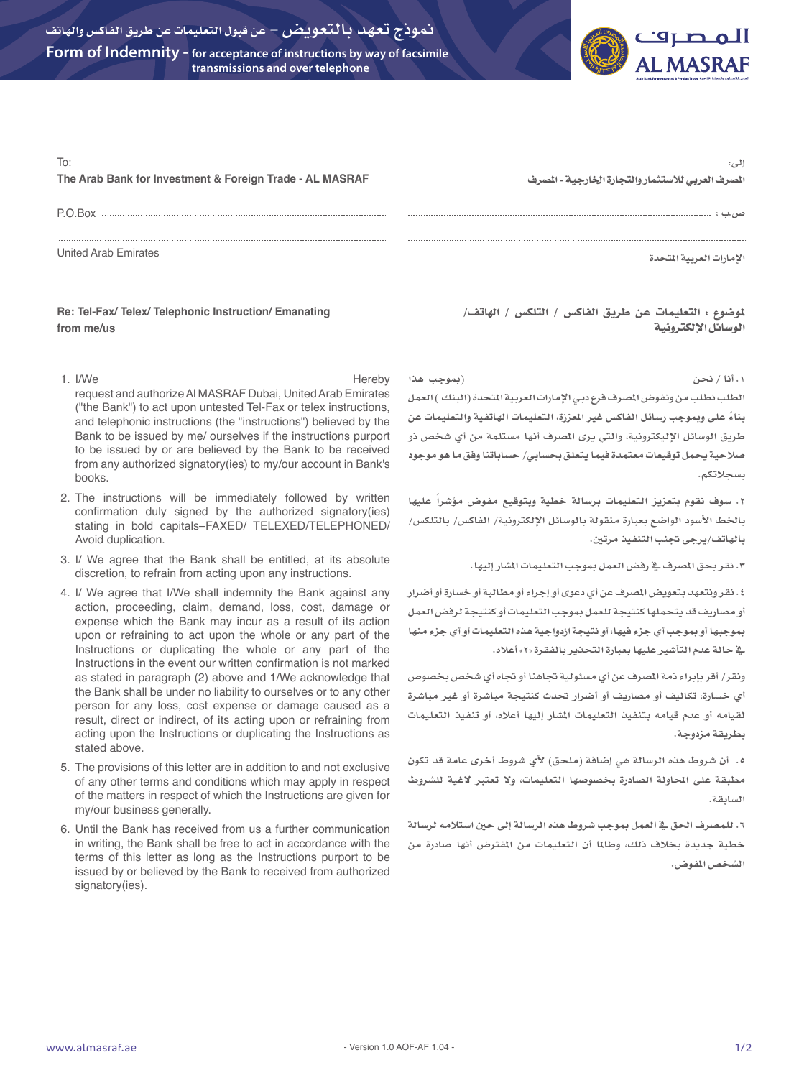

| ا لہ ، :<br>المصرف العربي للاستثمار والتجارة الخارجية - المصرف |
|----------------------------------------------------------------|
|                                                                |
| الإمارات العربية المتحدة                                       |
|                                                                |

## **Re: Tel-Fax/ Telex/ Telephonic Instruction/ Emanating from me/us**

- 1. I/We Hereby request and authorize Al MASRAF Dubai, United Arab Emirates ("the Bank") to act upon untested Tel-Fax or telex instructions, and telephonic instructions (the "instructions") believed by the Bank to be issued by me/ ourselves if the instructions purport to be issued by or are believed by the Bank to be received from any authorized signatory(ies) to my/our account in Bank's books.
- 2. The instructions will be immediately followed by written confirmation duly signed by the authorized signatory(ies) stating in bold capitals–FAXED/ TELEXED/TELEPHONED/ Avoid duplication.
- 3. I/ We agree that the Bank shall be entitled, at its absolute discretion, to refrain from acting upon any instructions.
- 4. I/ We agree that I/We shall indemnity the Bank against any action, proceeding, claim, demand, loss, cost, damage or expense which the Bank may incur as a result of its action upon or refraining to act upon the whole or any part of the Instructions or duplicating the whole or any part of the Instructions in the event our written confirmation is not marked as stated in paragraph (2) above and 1/We acknowledge that the Bank shall be under no liability to ourselves or to any other person for any loss, cost expense or damage caused as a result, direct or indirect, of its acting upon or refraining from acting upon the Instructions or duplicating the Instructions as stated above.
- 5. The provisions of this letter are in addition to and not exclusive of any other terms and conditions which may apply in respect of the matters in respect of which the Instructions are given for my/our business generally.
- 6. Until the Bank has received from us a further communication in writing, the Bank shall be free to act in accordance with the terms of this letter as long as the Instructions purport to be issued by or believed by the Bank to received from authorized signatory(ies).

ملوضوع : التعليمات عن طريق الفاكس / التلكس / الهاتف/ الوسائل اإللكترونية

**.1 أنا / نحن )مبوجب هذا الطلب نطلب من ونفوض املصرف فرع دبـي اإلمارات العربية املتحدة )البنك ( العمل ً بناء على ومبوجب رسائل الفاكس غير املعززة، التعليمات الهاتفية والتعليمات عن طريق الوسائل اإلليكترونية، والتي يرى املصرف أنها مستلمة من أي شخص ذو صالحية يحمل توقيعات معتمدة فيما يتعلق بحسابي/ حساباتنا وفق ما هو موجود بسجالتكم.**

**.2 سوف نقوم بتعزيز التعليمات برسالة خطية وبتوقيع مفوض ً مؤشرا عليها باخلط األسود الواضع بعبارة منقولة بالوسائل اإللكترونية/ الفاكس/ بالتلكس/ بالهاتف/يرجى جتنب التنفيذ مرتني.**

**.3 نقر بحق املصرف يف رفض العمل مبوجب التعليمات املشار إليها.**

**.4 نقر ونتعهد بتعويض املصرف عن أي دعوى أو إجراء أو مطالبة أو خسارة أو أضرار أو مصاريف قد يتحملها كنتيجة للعمل مبوجب التعليمات أو كنتيجة لرفض العمل مبوجبها أو مبوجب أي جزء فيها، أو نتيجة ازدواجية هذه التعليمات أو أي جزء منها يف حالة عدم التأشير عليها بعبارة التحذير بالفقرة »2« أعاله.**

**ونقر/ أقر بإبراء ذمة املصرف عن أي مسئولية جتاهنا أو جتاه أي شخص بخصوص أي خسارة، تكاليف أو مصاريف أو أضرار حتدث كنتيجة مباشرة أو غير مباشرة لقيامه أو عدم قيامه بتنفيذ التعليمات املشار إليها أعاله، أو تنفيذ التعليمات بطريقة مزدوجة.**

**.5 أن شروط هذه الرسالة هي إضافة )ملحق( ألي شروط أخرى عامة قد تكون مطبقة على احملاولة الصادرة بخصوصها التعليمات، وال تعتبر الغية للشروط السابقة.**

**.6 للمصرف احلق يف العمل مبوجب شروط هذه الرسالة إلى حني استالمه لرسالة خطية جديدة بخالف ذلك، وطاملا أن التعليمات من املفترض أنها صادرة من الشخص املفوض.**